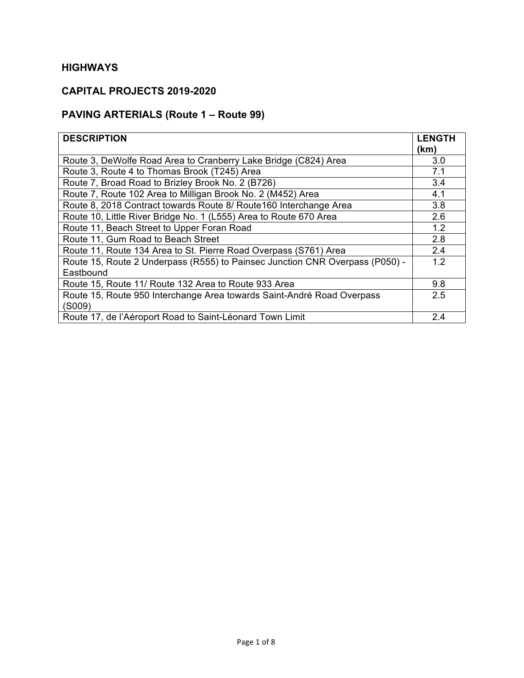## **CAPITAL PROJECTS 2019-2020**

# **PAVING ARTERIALS (Route 1 – Route 99)**

| <b>DESCRIPTION</b>                                                               | <b>LENGTH</b><br>(km) |
|----------------------------------------------------------------------------------|-----------------------|
| Route 3, DeWolfe Road Area to Cranberry Lake Bridge (C824) Area                  | 3.0                   |
| Route 3, Route 4 to Thomas Brook (T245) Area                                     | 7.1                   |
| Route 7, Broad Road to Brizley Brook No. 2 (B726)                                | 3.4                   |
| Route 7, Route 102 Area to Milligan Brook No. 2 (M452) Area                      | 4.1                   |
| Route 8, 2018 Contract towards Route 8/ Route 160 Interchange Area               | 3.8                   |
| Route 10, Little River Bridge No. 1 (L555) Area to Route 670 Area                | 2.6                   |
| Route 11, Beach Street to Upper Foran Road                                       | 1.2                   |
| Route 11, Gum Road to Beach Street                                               | 2.8                   |
| Route 11, Route 134 Area to St. Pierre Road Overpass (S761) Area                 | 2.4                   |
| Route 15, Route 2 Underpass (R555) to Painsec Junction CNR Overpass (P050) -     | 1.2                   |
| Eastbound                                                                        |                       |
| Route 15, Route 11/ Route 132 Area to Route 933 Area                             | 9.8                   |
| Route 15, Route 950 Interchange Area towards Saint-André Road Overpass<br>(S009) | 2.5                   |
| Route 17, de l'Aéroport Road to Saint-Léonard Town Limit                         | 2.4                   |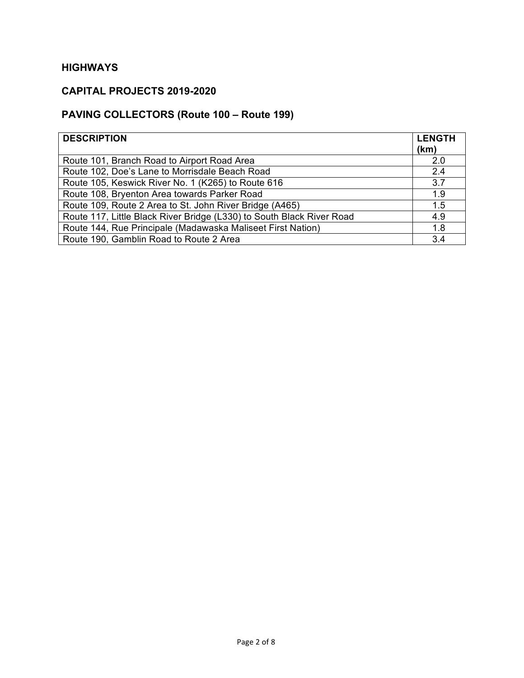## **CAPITAL PROJECTS 2019-2020**

# **PAVING COLLECTORS (Route 100 – Route 199)**

| <b>DESCRIPTION</b>                                                    | <b>LENGTH</b> |
|-----------------------------------------------------------------------|---------------|
|                                                                       | (km)          |
| Route 101, Branch Road to Airport Road Area                           | 2.0           |
| Route 102, Doe's Lane to Morrisdale Beach Road                        | 2.4           |
| Route 105, Keswick River No. 1 (K265) to Route 616                    | 3.7           |
| Route 108, Bryenton Area towards Parker Road                          | 1.9           |
| Route 109, Route 2 Area to St. John River Bridge (A465)               | 1.5           |
| Route 117, Little Black River Bridge (L330) to South Black River Road | 4.9           |
| Route 144, Rue Principale (Madawaska Maliseet First Nation)           | 1.8           |
| Route 190, Gamblin Road to Route 2 Area                               | 3.4           |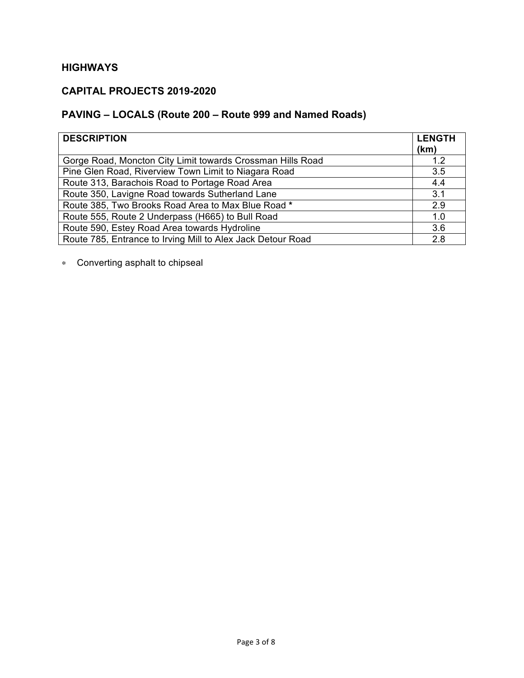#### **CAPITAL PROJECTS 2019-2020**

# **PAVING – LOCALS (Route 200 – Route 999 and Named Roads)**

| <b>DESCRIPTION</b>                                          | <b>LENGTH</b><br>(km) |
|-------------------------------------------------------------|-----------------------|
| Gorge Road, Moncton City Limit towards Crossman Hills Road  | 1.2                   |
| Pine Glen Road, Riverview Town Limit to Niagara Road        | 3.5                   |
| Route 313, Barachois Road to Portage Road Area              | 4.4                   |
| Route 350, Lavigne Road towards Sutherland Lane             | 3.1                   |
| Route 385, Two Brooks Road Area to Max Blue Road *          | 2.9                   |
| Route 555, Route 2 Underpass (H665) to Bull Road            | 1.0                   |
| Route 590, Estey Road Area towards Hydroline                | 3.6                   |
| Route 785, Entrance to Irving Mill to Alex Jack Detour Road | 2.8                   |

∗ Converting asphalt to chipseal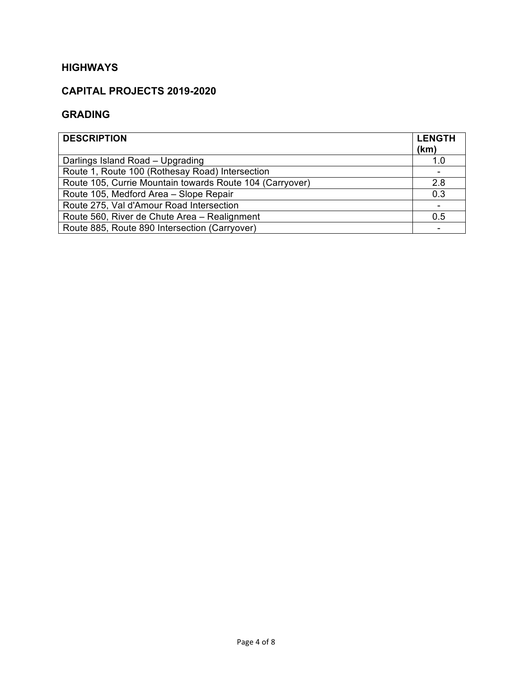### **CAPITAL PROJECTS 2019-2020**

#### **GRADING**

| <b>DESCRIPTION</b>                                       | <b>LENGTH</b><br>(km) |
|----------------------------------------------------------|-----------------------|
| Darlings Island Road - Upgrading                         | 1.0                   |
| Route 1, Route 100 (Rothesay Road) Intersection          |                       |
| Route 105, Currie Mountain towards Route 104 (Carryover) | 2.8                   |
| Route 105, Medford Area - Slope Repair                   | 0.3                   |
| Route 275, Val d'Amour Road Intersection                 |                       |
| Route 560, River de Chute Area - Realignment             | 0.5                   |
| Route 885, Route 890 Intersection (Carryover)            |                       |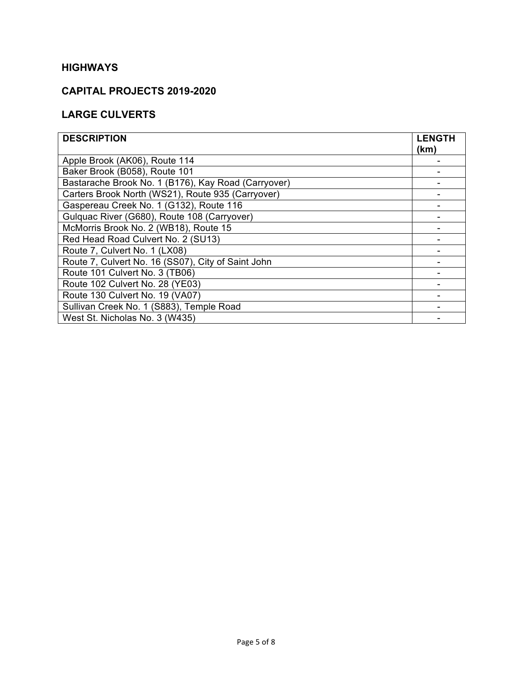#### **CAPITAL PROJECTS 2019-2020**

## **LARGE CULVERTS**

| <b>DESCRIPTION</b>                                  | <b>LENGTH</b><br>(km) |
|-----------------------------------------------------|-----------------------|
| Apple Brook (AK06), Route 114                       |                       |
| Baker Brook (B058), Route 101                       |                       |
| Bastarache Brook No. 1 (B176), Kay Road (Carryover) |                       |
| Carters Brook North (WS21), Route 935 (Carryover)   |                       |
| Gaspereau Creek No. 1 (G132), Route 116             |                       |
| Gulquac River (G680), Route 108 (Carryover)         |                       |
| McMorris Brook No. 2 (WB18), Route 15               |                       |
| Red Head Road Culvert No. 2 (SU13)                  |                       |
| Route 7, Culvert No. 1 (LX08)                       |                       |
| Route 7, Culvert No. 16 (SS07), City of Saint John  |                       |
| Route 101 Culvert No. 3 (TB06)                      |                       |
| Route 102 Culvert No. 28 (YE03)                     |                       |
| Route 130 Culvert No. 19 (VA07)                     |                       |
| Sullivan Creek No. 1 (S883), Temple Road            |                       |
| West St. Nicholas No. 3 (W435)                      |                       |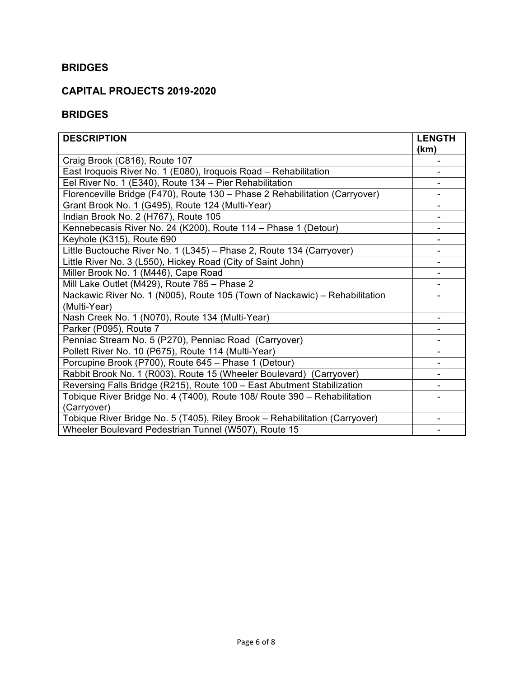#### **BRIDGES**

#### **CAPITAL PROJECTS 2019-2020**

#### **BRIDGES**

| <b>DESCRIPTION</b>                                                          | <b>LENGTH</b> |
|-----------------------------------------------------------------------------|---------------|
|                                                                             | (km)          |
| Craig Brook (C816), Route 107                                               |               |
| East Iroquois River No. 1 (E080), Iroquois Road - Rehabilitation            |               |
| Eel River No. 1 (E340), Route 134 - Pier Rehabilitation                     |               |
| Florenceville Bridge (F470), Route 130 - Phase 2 Rehabilitation (Carryover) |               |
| Grant Brook No. 1 (G495), Route 124 (Multi-Year)                            |               |
| Indian Brook No. 2 (H767), Route 105                                        |               |
| Kennebecasis River No. 24 (K200), Route 114 - Phase 1 (Detour)              |               |
| Keyhole (K315), Route 690                                                   |               |
| Little Buctouche River No. 1 (L345) - Phase 2, Route 134 (Carryover)        |               |
| Little River No. 3 (L550), Hickey Road (City of Saint John)                 |               |
| Miller Brook No. 1 (M446), Cape Road                                        |               |
| Mill Lake Outlet (M429), Route 785 - Phase 2                                |               |
| Nackawic River No. 1 (N005), Route 105 (Town of Nackawic) - Rehabilitation  |               |
| (Multi-Year)                                                                |               |
| Nash Creek No. 1 (N070), Route 134 (Multi-Year)                             |               |
| Parker (P095), Route 7                                                      |               |
| Penniac Stream No. 5 (P270), Penniac Road (Carryover)                       |               |
| Pollett River No. 10 (P675), Route 114 (Multi-Year)                         |               |
| Porcupine Brook (P700), Route 645 - Phase 1 (Detour)                        |               |
| Rabbit Brook No. 1 (R003), Route 15 (Wheeler Boulevard) (Carryover)         |               |
| Reversing Falls Bridge (R215), Route 100 - East Abutment Stabilization      |               |
| Tobique River Bridge No. 4 (T400), Route 108/ Route 390 - Rehabilitation    |               |
| (Carryover)                                                                 |               |
| Tobique River Bridge No. 5 (T405), Riley Brook - Rehabilitation (Carryover) |               |
| Wheeler Boulevard Pedestrian Tunnel (W507), Route 15                        |               |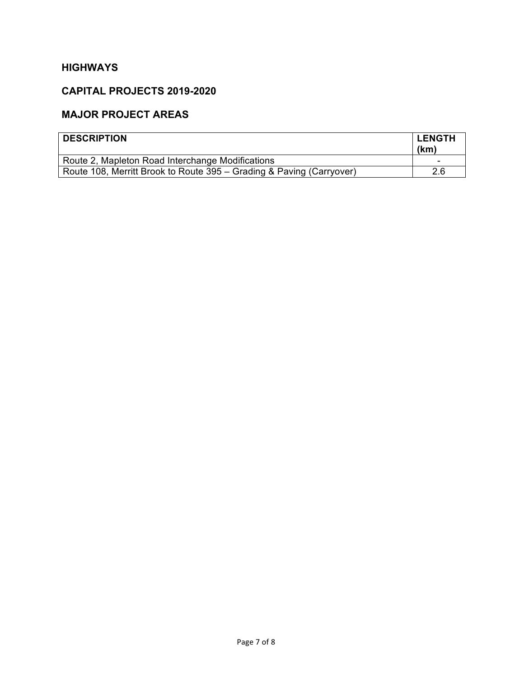## **CAPITAL PROJECTS 2019-2020**

### **MAJOR PROJECT AREAS**

| <b>DESCRIPTION</b>                                                   | <b>LENGTH</b><br>(km) |
|----------------------------------------------------------------------|-----------------------|
| Route 2, Mapleton Road Interchange Modifications                     | -                     |
| Route 108, Merritt Brook to Route 395 – Grading & Paving (Carryover) | 2.6                   |